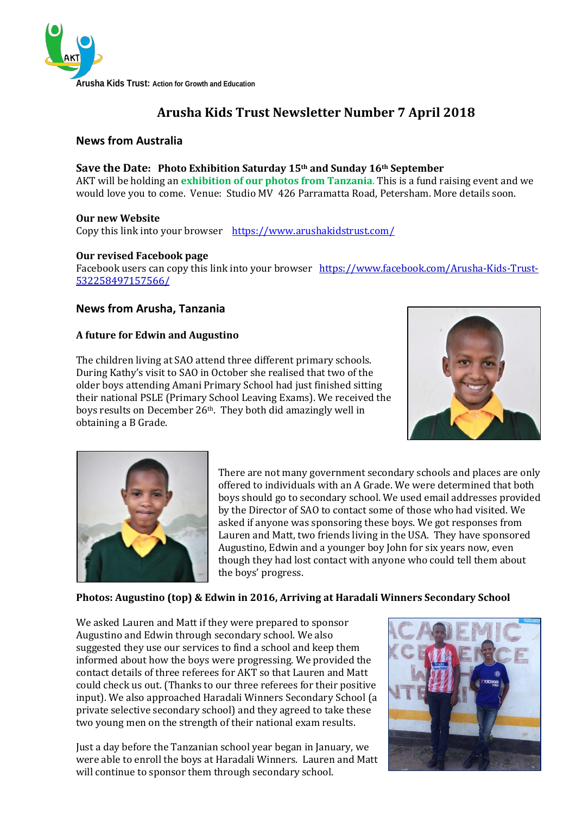

# **Arusha Kids Trust Newsletter Number 7 April 2018**

# **News from Australia**

#### **Save the Date: Photo Exhibition Saturday 15th and Sunday 16th September**

AKT will be holding an **exhibition of our photos from Tanzania**. This is a fund raising event and we would love you to come. Venue: Studio MV 426 Parramatta Road, Petersham. More details soon.

#### **Our new Website**

Copy this link into your browser <https://www.arushakidstrust.com/>

#### **Our revised Facebook page**

Facebook users can copy this link into your browser [https://www.facebook.com/Arusha-Kids-Trust-](https://www.facebook.com/Arusha-Kids-Trust-532258497157566/)[532258497157566/](https://www.facebook.com/Arusha-Kids-Trust-532258497157566/)

# **News from Arusha, Tanzania**

#### **A future for Edwin and Augustino**

The children living at SAO attend three different primary schools. During Kathy's visit to SAO in October she realised that two of the older boys attending Amani Primary School had just finished sitting their national PSLE (Primary School Leaving Exams). We received the boys results on December 26th. They both did amazingly well in obtaining a B Grade.





There are not many government secondary schools and places are only offered to individuals with an A Grade. We were determined that both boys should go to secondary school. We used email addresses provided by the Director of SAO to contact some of those who had visited. We asked if anyone was sponsoring these boys. We got responses from Lauren and Matt, two friends living in the USA. They have sponsored Augustino, Edwin and a younger boy John for six years now, even though they had lost contact with anyone who could tell them about the boys' progress.

#### **Photos: Augustino (top) & Edwin in 2016, Arriving at Haradali Winners Secondary School**

We asked Lauren and Matt if they were prepared to sponsor Augustino and Edwin through secondary school. We also suggested they use our services to find a school and keep them informed about how the boys were progressing. We provided the contact details of three referees for AKT so that Lauren and Matt could check us out. (Thanks to our three referees for their positive input). We also approached Haradali Winners Secondary School (a private selective secondary school) and they agreed to take these two young men on the strength of their national exam results.

Just a day before the Tanzanian school year began in January, we were able to enroll the boys at Haradali Winners. Lauren and Matt will continue to sponsor them through secondary school.

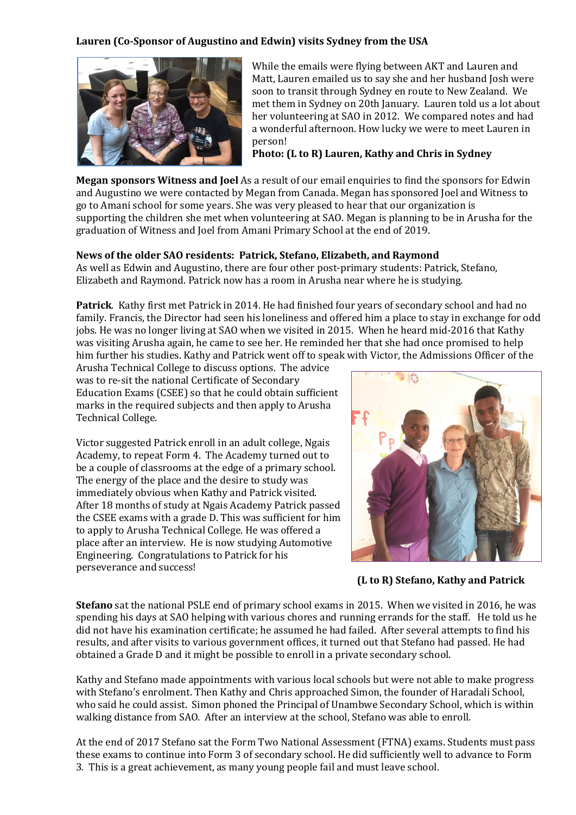## **Lauren (Co-Sponsor of Augustino and Edwin) visits Sydney from the USA**



While the emails were flying between AKT and Lauren and Matt, Lauren emailed us to say she and her husband Josh were soon to transit through Sydney en route to New Zealand. We met them in Sydney on 20th January. Lauren told us a lot about her volunteering at SAO in 2012. We compared notes and had a wonderful afternoon. How lucky we were to meet Lauren in person!

**Photo: (L to R) Lauren, Kathy and Chris in Sydney**

**Megan sponsors Witness and Joel** As a result of our email enquiries to find the sponsors for Edwin and Augustino we were contacted by Megan from Canada. Megan has sponsored Joel and Witness to go to Amani school for some years. She was very pleased to hear that our organization is supporting the children she met when volunteering at SAO. Megan is planning to be in Arusha for the graduation of Witness and Joel from Amani Primary School at the end of 2019.

## **News of the older SAO residents: Patrick, Stefano, Elizabeth, and Raymond**

As well as Edwin and Augustino, there are four other post-primary students: Patrick, Stefano, Elizabeth and Raymond. Patrick now has a room in Arusha near where he is studying.

**Patrick**. Kathy first met Patrick in 2014. He had finished four years of secondary school and had no family. Francis, the Director had seen his loneliness and offered him a place to stay in exchange for odd jobs. He was no longer living at SAO when we visited in 2015. When he heard mid-2016 that Kathy was visiting Arusha again, he came to see her. He reminded her that she had once promised to help him further his studies. Kathy and Patrick went off to speak with Victor, the Admissions Officer of the

Arusha Technical College to discuss options. The advice was to re-sit the national Certificate of Secondary Education Exams (CSEE) so that he could obtain sufficient marks in the required subjects and then apply to Arusha Technical College.

Victor suggested Patrick enroll in an adult college, Ngais Academy, to repeat Form 4. The Academy turned out to be a couple of classrooms at the edge of a primary school. The energy of the place and the desire to study was immediately obvious when Kathy and Patrick visited. After 18 months of study at Ngais Academy Patrick passed the CSEE exams with a grade D. This was sufficient for him to apply to Arusha Technical College. He was offered a place after an interview. He is now studying Automotive Engineering. Congratulations to Patrick for his perseverance and success!



**(L to R) Stefano, Kathy and Patrick** 

**Stefano** sat the national PSLE end of primary school exams in 2015. When we visited in 2016, he was spending his days at SAO helping with various chores and running errands for the staff. He told us he did not have his examination certificate; he assumed he had failed. After several attempts to find his results, and after visits to various government offices, it turned out that Stefano had passed. He had obtained a Grade D and it might be possible to enroll in a private secondary school.

Kathy and Stefano made appointments with various local schools but were not able to make progress with Stefano's enrolment. Then Kathy and Chris approached Simon, the founder of Haradali School, who said he could assist. Simon phoned the Principal of Unambwe Secondary School, which is within walking distance from SAO. After an interview at the school, Stefano was able to enroll.

At the end of 2017 Stefano sat the Form Two National Assessment (FTNA) exams. Students must pass these exams to continue into Form 3 of secondary school. He did sufficiently well to advance to Form 3. This is a great achievement, as many young people fail and must leave school.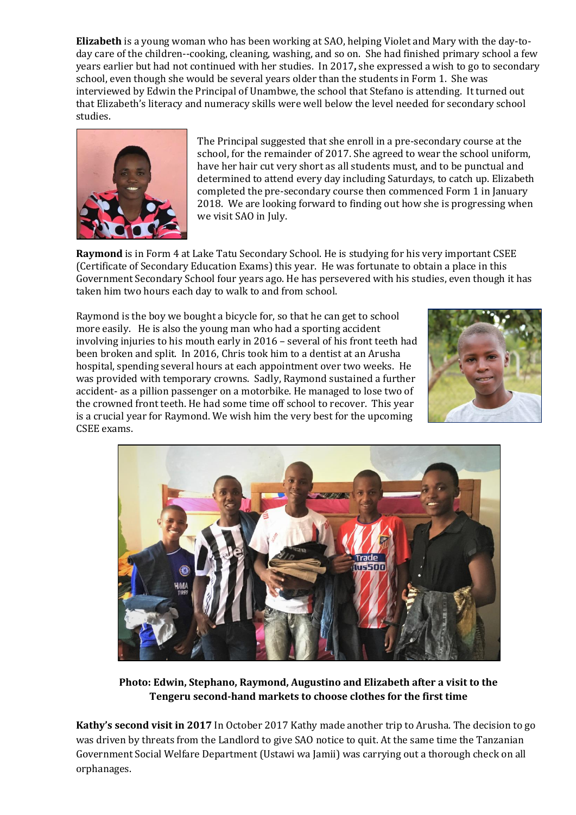**Elizabeth** is a young woman who has been working at SAO, helping Violet and Mary with the day-today care of the children--cooking, cleaning, washing, and so on. She had finished primary school a few years earlier but had not continued with her studies.In 2017**,** she expressed a wish to go to secondary school, even though she would be several years older than the students in Form 1. She was interviewed by Edwin the Principal of Unambwe, the school that Stefano is attending. It turned out that Elizabeth's literacy and numeracy skills were well below the level needed for secondary school studies.



The Principal suggested that she enroll in a pre-secondary course at the school, for the remainder of 2017. She agreed to wear the school uniform, have her hair cut very short as all students must, and to be punctual and determined to attend every day including Saturdays, to catch up. Elizabeth completed the pre-secondary course then commenced Form 1 in January 2018. We are looking forward to finding out how she is progressing when we visit SAO in July.

**Raymond** is in Form 4 at Lake Tatu Secondary School. He is studying for his very important CSEE (Certificate of Secondary Education Exams) this year. He was fortunate to obtain a place in this Government Secondary School four years ago. He has persevered with his studies, even though it has taken him two hours each day to walk to and from school.

Raymond is the boy we bought a bicycle for, so that he can get to school more easily. He is also the young man who had a sporting accident involving injuries to his mouth early in 2016 – several of his front teeth had been broken and split. In 2016, Chris took him to a dentist at an Arusha hospital, spending several hours at each appointment over two weeks. He was provided with temporary crowns. Sadly, Raymond sustained a further accident- as a pillion passenger on a motorbike. He managed to lose two of the crowned front teeth. He had some time off school to recover. This year is a crucial year for Raymond. We wish him the very best for the upcoming CSEE exams.





**Photo: Edwin, Stephano, Raymond, Augustino and Elizabeth after a visit to the Tengeru second-hand markets to choose clothes for the first time**

**Kathy's second visit in 2017** In October 2017 Kathy made another trip to Arusha. The decision to go was driven by threats from the Landlord to give SAO notice to quit. At the same time the Tanzanian Government Social Welfare Department (Ustawi wa Jamii) was carrying out a thorough check on all orphanages.